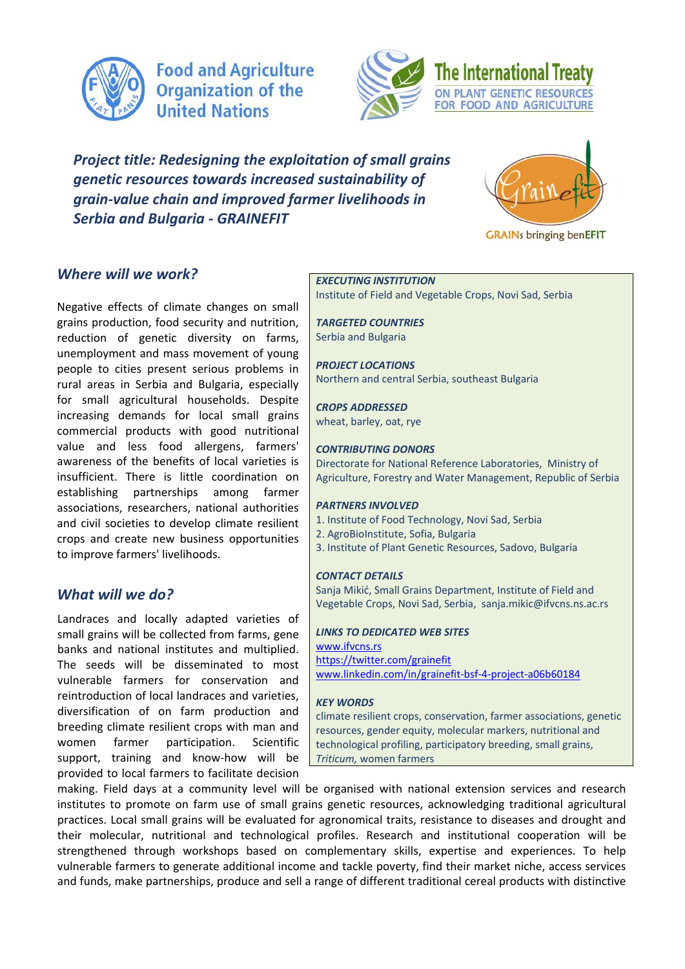

**Food and Agriculture Organization of the United Nations** 



*Project title: Redesigning the exploitation of small grains genetic resources towards increased sustainability of grain-value chain and improved farmer livelihoods in Serbia and Bulgaria - GRAINEFIT* 



*Where will we work?* 

Negative effects of climate changes on small grains production, food security and nutrition, reduction of genetic diversity on farms, unemployment and mass movement of young people to cities present serious problems in rural areas in Serbia and Bulgaria, especially for small agricultural households. Despite increasing demands for local small grains commercial products with good nutritional value and less food allergens, farmers' awareness of the benefits of local varieties is insufficient. There is little coordination on establishing partnerships among farmer associations, researchers, national authorities and civil societies to develop climate resilient crops and create new business opportunities to improve farmers' livelihoods.

# *What will we do?*

Landraces and locally adapted varieties of small grains will be collected from farms, gene banks and national institutes and multiplied. The seeds will be disseminated to most vulnerable farmers for conservation and reintroduction of local landraces and varieties, diversification of on farm production and breeding climate resilient crops with man and women farmer participation. Scientific support, training and know-how will be provided to local farmers to facilitate decision

#### *EXECUTING INSTITUTION*

Institute of Field and Vegetable Crops, Novi Sad, Serbia

*TARGETED COUNTRIES* Serbia and Bulgaria

*PROJECT LOCATIONS* Northern and central Serbia, southeast Bulgaria

*CROPS ADDRESSED* wheat, barley, oat, rye

#### *CONTRIBUTING DONORS*

Directorate for National Reference Laboratories, Ministry of Agriculture, Forestry and Water Management, Republic of Serbia

### *PARTNERS INVOLVED*

- 1. Institute of Food Technology, Novi Sad, Serbia
- 2. AgroBioInstitute, Sofia, Bulgaria
- 3. Institute of Plant Genetic Resources, Sadovo, Bulgaria

#### *CONTACT DETAILS*

Sanja Mikić, Small Grains Department, Institute of Field and Vegetable Crops, Novi Sad, Serbia, sanja.mikic@ifvcns.ns.ac.rs

### *LINKS TO DEDICATED WEB SITES*

[www.ifvcns.rs](http://www.ifvcns.rs/) <https://twitter.com/grainefit> [www.linkedin.com/in/grainefit-bsf-4-project-a06b60184](https://www.linkedin.com/in/grainefit-bsf-4-project-a06b60184/)

#### *KEY WORDS*

climate resilient crops, conservation, farmer associations, genetic resources, gender equity, molecular markers, nutritional and technological profiling, participatory breeding, small grains, *Triticum,* women farmers

making. Field days at a community level will be organised with national extension services and research institutes to promote on farm use of small grains genetic resources, acknowledging traditional agricultural practices. Local small grains will be evaluated for agronomical traits, resistance to diseases and drought and their molecular, nutritional and technological profiles. Research and institutional cooperation will be strengthened through workshops based on complementary skills, expertise and experiences. To help vulnerable farmers to generate additional income and tackle poverty, find their market niche, access services and funds, make partnerships, produce and sell a range of different traditional cereal products with distinctive